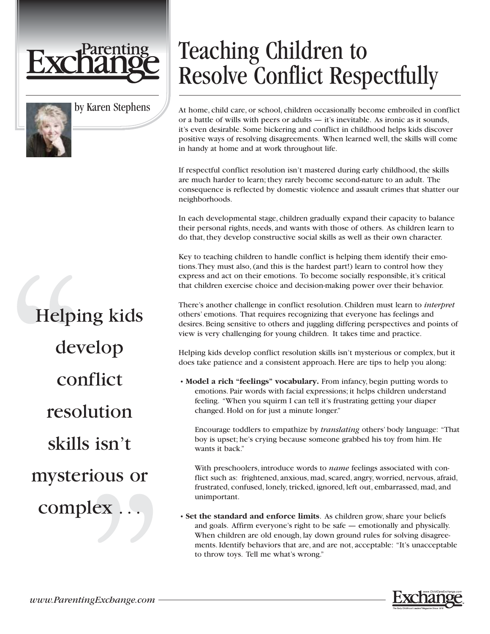

## by Karen Stephens

Helping kids develop conflict resolution skills isn't mysterious or complex .

## Teaching Children to Resolve Conflict Respectfully

At home, child care, or school, children occasionally become embroiled in conflict or a battle of wills with peers or adults — it's inevitable. As ironic as it sounds, it's even desirable. Some bickering and conflict in childhood helps kids discover positive ways of resolving disagreements. When learned well, the skills will come in handy at home and at work throughout life.

If respectful conflict resolution isn't mastered during early childhood, the skills are much harder to learn; they rarely become second-nature to an adult. The consequence is reflected by domestic violence and assault crimes that shatter our neighborhoods.

In each developmental stage, children gradually expand their capacity to balance their personal rights, needs, and wants with those of others. As children learn to do that, they develop constructive social skills as well as their own character.

Key to teaching children to handle conflict is helping them identify their emotions.They must also, (and this is the hardest part!) learn to control how they express and act on their emotions. To become socially responsible, it's critical that children exercise choice and decision-making power over their behavior.

There's another challenge in conflict resolution. Children must learn to *interpret* others' emotions. That requires recognizing that everyone has feelings and desires. Being sensitive to others and juggling differing perspectives and points of view is very challenging for young children. It takes time and practice.

Helping kids develop conflict resolution skills isn't mysterious or complex, but it does take patience and a consistent approach. Here are tips to help you along:

• **Model a rich "feelings" vocabulary.** From infancy, begin putting words to emotions. Pair words with facial expressions; it helps children understand feeling. "When you squirm I can tell it's frustrating getting your diaper changed. Hold on for just a minute longer."

Encourage toddlers to empathize by *translating* others' body language: "That boy is upset; he's crying because someone grabbed his toy from him. He wants it back."

With preschoolers, introduce words to *name* feelings associated with conflict such as: frightened, anxious, mad, scared, angry, worried, nervous, afraid, frustrated, confused, lonely, tricked, ignored, left out, embarrassed, mad, and unimportant.

• **Set the standard and enforce limits**. As children grow, share your beliefs and goals. Affirm everyone's right to be safe — emotionally and physically. When children are old enough, lay down ground rules for solving disagreements. Identify behaviors that are, and are not, acceptable: "It's unacceptable to throw toys. Tell me what's wrong."

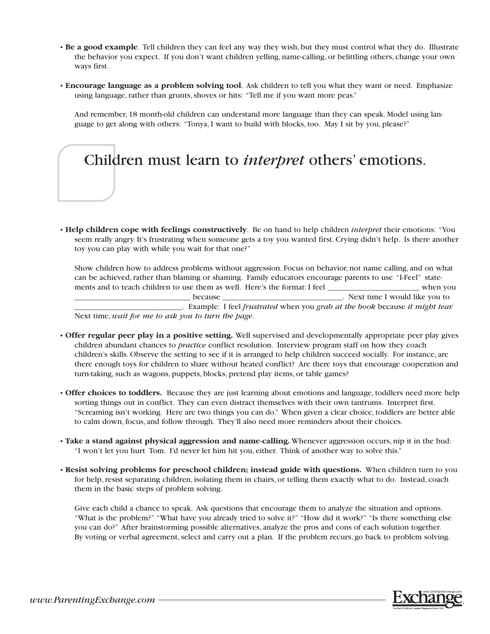- **Be a good example**. Tell children they can feel any way they wish, but they must control what they do. Illustrate the behavior you expect. If you don't want children yelling, name-calling, or belittling others, change your own ways first.
- **Encourage language as a problem solving tool**. Ask children to tell you what they want or need. Emphasize using language, rather than grunts, shoves or hits: "Tell me if you want more peas."

And remember, 18 month-old children can understand more language than they can speak. Model using language to get along with others: "Tonya, I want to build with blocks, too. May I sit by you, please?"

## Children must learn to *interpret* others' emotions.

• **Help children cope with feelings constructively**. Be on hand to help children *interpret* their emotions: "You seem really angry. It's frustrating when someone gets a toy you wanted first. Crying didn't help. Is there another toy you can play with while you wait for that one?"

Show children how to address problems without aggression. Focus on behavior, not name calling, and on what can be achieved, rather than blaming or shaming. Family educators encourage parents to use "I-Feel" statements and to teach children to use them as well. Here's the format: I feel \_\_\_\_\_\_\_\_\_\_\_\_\_\_\_\_\_\_\_\_\_\_\_\_\_ when you \_\_\_\_\_\_\_\_\_\_\_\_\_\_\_\_\_\_\_\_\_\_\_\_\_\_\_\_\_ because \_\_\_\_\_\_\_\_\_\_\_\_\_\_\_\_\_\_\_\_\_\_\_\_\_\_\_\_\_\_. Next time I would like you to \_\_\_\_\_\_\_\_\_\_\_\_\_\_\_\_\_\_\_\_\_\_\_\_\_\_\_. Example: I feel *frustrated* when you *grab at the book* because *it might tear.* Next time, *wait for me to ask you to turn the page*.

- **Offer regular peer play in a positive setting.** Well supervised and developmentally appropriate peer play gives children abundant chances to *practice* conflict resolution. Interview program staff on how they coach children's skills. Observe the setting to see if it is arranged to help children succeed socially. For instance, are there enough toys for children to share without heated conflict? Are there toys that encourage cooperation and turn-taking, such as wagons, puppets, blocks, pretend play items, or table games?
- **Offer choices to toddlers.** Because they are just learning about emotions and language, toddlers need more help sorting things out in conflict. They can even distract themselves with their own tantrums. Interpret first. "Screaming isn't working. Here are two things you can do." When given a clear choice, toddlers are better able to calm down, focus, and follow through. They'll also need more reminders about their choices.
- **Take a stand against physical aggression and name-calling.** Whenever aggression occurs, nip it in the bud: "I won't let you hurt Tom. I'd never let him hit you, either. Think of another way to solve this."
- **Resist solving problems for preschool children; instead guide with questions.** When children turn to you for help, resist separating children, isolating them in chairs, or telling them exactly what to do. Instead, coach them in the basic steps of problem solving.

Give each child a chance to speak. Ask questions that encourage them to analyze the situation and options. "What is the problem?" "What have you already tried to solve it?" "How did it work?" "Is there something else you can do?" After brainstorming possible alternatives, analyze the pros and cons of each solution together. By voting or verbal agreement, select and carry out a plan. If the problem recurs, go back to problem solving.